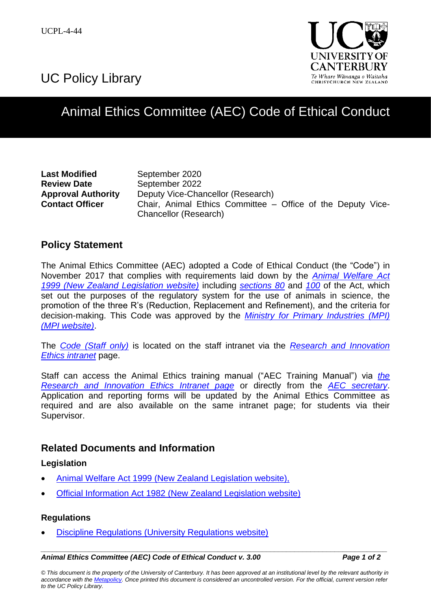UC Policy Library



# Animal Ethics Committee (AEC) Code of Ethical Conduct

**Last Modified** September 2020 **Review Date** September 2022

**Approval Authority** Deputy Vice-Chancellor (Research) **Contact Officer Chair, Animal Ethics Committee – Office of the Deputy Vice-**Chancellor (Research)

### **Policy Statement**

The Animal Ethics Committee (AEC) adopted a Code of Ethical Conduct (the "Code") in November 2017 that complies with requirements laid down by the *[Animal Welfare Act](http://www.legislation.govt.nz/act/public/1999/0142/latest/DLM49664.html?src=qs)  1999 [\(New Zealand Legislation website\)](http://www.legislation.govt.nz/act/public/1999/0142/latest/DLM49664.html?src=qs)* including *[sections 80](http://legislation.govt.nz/act/public/1999/0142/latest/DLM51200.html)* and *[100](http://legislation.govt.nz/act/public/1999/0142/latest/whole.html#DLM51225)* of the Act, which set out the purposes of the regulatory system for the use of animals in science, the promotion of the three R's (Reduction, Replacement and Refinement), and the criteria for decision-making. This Code was approved by the *Ministry for [Primary Industries \(MPI\)](http://www.mpi.govt.nz/) [\(MPI website\)](http://www.mpi.govt.nz/)*.

The *[Code \(Staff only\)](https://intranet.canterbury.ac.nz/research/documents/code-of-ethical-conduct-uc-2017.pdf)* is located on the staff intranet via the *[Research and Innovation](https://intranet.canterbury.ac.nz/research/ethics.shtml)  [Ethics intranet](https://intranet.canterbury.ac.nz/research/ethics.shtml)* page.

Staff can access the Animal Ethics training manual ("AEC Training Manual") via *[the](https://intranet.canterbury.ac.nz/research/ethics.shtml)  [Research and Innovation Ethics Intranet page](https://intranet.canterbury.ac.nz/research/ethics.shtml)* or directly from the *[AEC secretary](mailto:animal-ethics@canterbury.ac.nz.)*. Application and reporting forms will be updated by the Animal Ethics Committee as required and are also available on the same intranet page; for students via their Supervisor.

### **Related Documents and Information**

### **Legislation**

- [Animal Welfare Act 1999 \(New Zealand Legislation website\),](http://www.legislation.govt.nz/act/public/1999/0142/latest/DLM49664.html?src=qs)
- [Official Information Act 1982 \(New Zealand Legislation website\)](http://www.legislation.govt.nz/act/public/1982/0156/latest/DLM64785.html?src=qs)

### **Regulations**

[Discipline Regulations \(University Regulations website\)](http://www.canterbury.ac.nz/regulations/general-regulations/discipline-regulations/)

#### *\_\_\_\_\_\_\_\_\_\_\_\_\_\_\_\_\_\_\_\_\_\_\_\_\_\_\_\_\_\_\_\_\_\_\_\_\_\_\_\_\_\_\_\_\_\_\_\_\_\_\_\_\_\_\_\_\_\_\_\_\_\_\_\_\_\_\_\_\_\_\_\_\_\_\_\_\_\_\_\_\_\_\_\_\_\_ Animal Ethics Committee (AEC) Code of Ethical Conduct v. 3.00 Page 1 of 2*

*© This document is the property of the University of Canterbury. It has been approved at an institutional level by the relevant authority in accordance with the [Metapolicy.](http://www.canterbury.ac.nz/ucpolicy/GetPolicy.aspx?file=Metapolicy.pdf) Once printed this document is considered an uncontrolled version. For the official, current version refer to the UC Policy Library.*